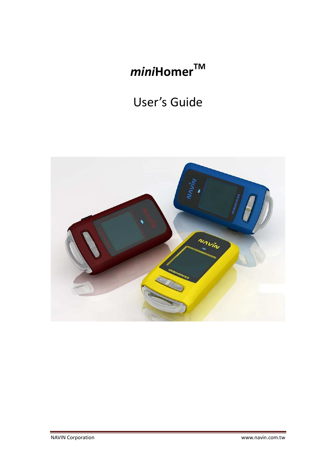# *mini***HomerTM**

# User's Guide

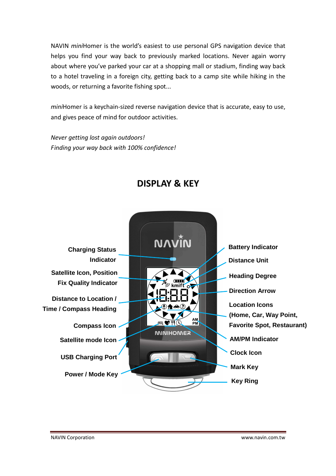NAVIN *mini*Homer is the world's easiest to use personal GPS navigation device that helps you find your way back to previously marked locations. Never again worry about where you've parked your car at a shopping mall or stadium, finding way back to a hotel traveling in a foreign city, getting back to a camp site while hiking in the woods, or returning a favorite fishing spot...

*mini*Homer is a keychain-sized reverse navigation device that is accurate, easy to use, and gives peace of mind for outdoor activities.

*Never getting lost again outdoors! Finding your way back with 100% confidence!* 



# **DISPLAY & KEY**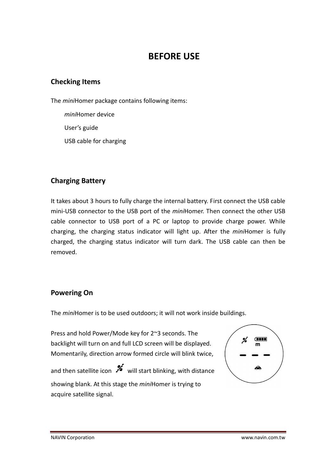# **BEFORE USE**

### **Checking Items**

The *mini*Homer package contains following items:

*mini*Homer device User's guide USB cable for charging

# **Charging Battery**

It takes about 3 hours to fully charge the internal battery. First connect the USB cable mini-USB connector to the USB port of the *mini*Homer. Then connect the other USB cable connector to USB port of a PC or laptop to provide charge power. While charging, the charging status indicator will light up. After the *mini*Homer is fully charged, the charging status indicator will turn dark. The USB cable can then be removed.

## **Powering On**

The *mini*Homer is to be used outdoors; it will not work inside buildings.

Press and hold Power/Mode key for 2~3 seconds. The backlight will turn on and full LCD screen will be displayed. Momentarily, direction arrow formed circle will blink twice,

and then satellite icon  $\mathcal{I}$  will start blinking, with distance showing blank. At this stage the *mini*Homer is trying to acquire satellite signal.

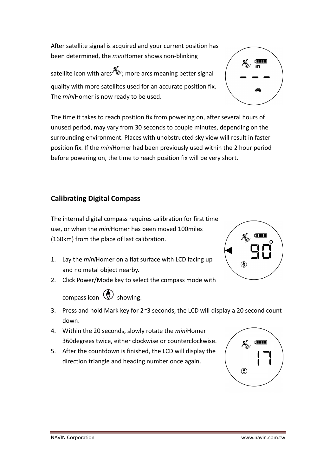After satellite signal is acquired and your current position has been determined, the *mini*Homer shows non-blinking

satellite icon with arcs  $\mathcal{L}$ ; more arcs meaning better signal quality with more satellites used for an accurate position fix. The *mini*Homer is now ready to be used.

**Commod** 

The time it takes to reach position fix from powering on, after several hours of unused period, may vary from 30 seconds to couple minutes, depending on the surrounding environment. Places with unobstructed sky view will result in faster position fix. If the *mini*Homer had been previously used within the 2 hour period before powering on, the time to reach position fix will be very short.

# **Calibrating Digital Compass**

The internal digital compass requires calibration for first time use, or when the *mini*Homer has been moved 100miles (160km) from the place of last calibration.

- 1. Lay the *mini*Homer on a flat surface with LCD facing up and no metal object nearby.
- 2. Click Power/Mode key to select the compass mode with



- 3. Press and hold Mark key for 2~3 seconds, the LCD will display a 20 second count down.
- 4. Within the 20 seconds, slowly rotate the *mini*Homer 360degrees twice, either clockwise or counterclockwise.
- 5. After the countdown is finished, the LCD will display the direction triangle and heading number once again.



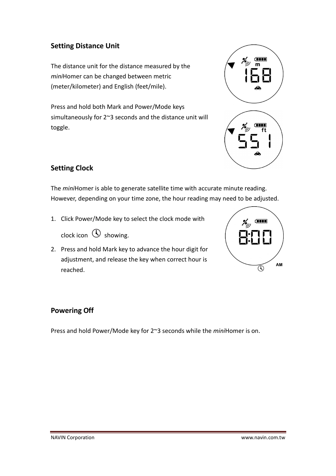# **Setting Distance Unit**

The distance unit for the distance measured by the *mini*Homer can be changed between metric (meter/kilometer) and English (feet/mile).

Press and hold both Mark and Power/Mode keys simultaneously for 2~3 seconds and the distance unit will toggle.



# **Setting Clock**

The *mini*Homer is able to generate satellite time with accurate minute reading. However, depending on your time zone, the hour reading may need to be adjusted.

1. Click Power/Mode key to select the clock mode with

clock icon  $\mathbb O$  showing.

2. Press and hold Mark key to advance the hour digit for adjustment, and release the key when correct hour is reached.



## **Powering Off**

Press and hold Power/Mode key for 2~3 seconds while the *mini*Homer is on.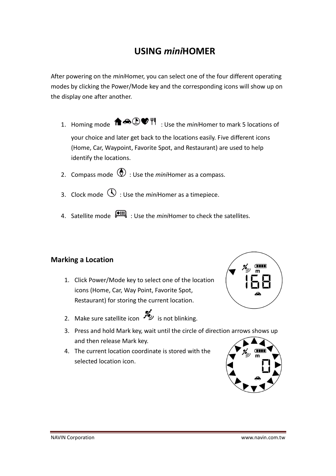# **USING** *mini***HOMER**

After powering on the *mini*Homer, you can select one of the four different operating modes by clicking the Power/Mode key and the corresponding icons will show up on the display one after another.

- 1. Homing mode  $\bigoplus_{i=1}^{\infty}$   $\bigoplus_{i=1}^{\infty}$   $\bigoplus_{i=1}^{\infty}$  Use the *mini*Homer to mark 5 locations of your choice and later get back to the locations easily. Five different icons (Home, Car, Waypoint, Favorite Spot, and Restaurant) are used to help identify the locations.
- 2. Compass mode  $\bigcirc$  : Use the *mini*Homer as a compass.
- 3. Clock mode  $\mathbb O$  : Use the *mini*Homer as a timepiece.
- 4. Satellite mode  $\overline{\bullet}$ : Use the *mini*Homer to check the satellites.

## **Marking a Location**

- 1. Click Power/Mode key to select one of the location icons (Home, Car, Way Point, Favorite Spot, Restaurant) for storing the current location.
- 2. Make sure satellite icon  $\mathcal{L}$  is not blinking.
- 3. Press and hold Mark key, wait until the circle of direction arrows shows up and then release Mark key.
- 4. The current location coordinate is stored with the selected location icon.

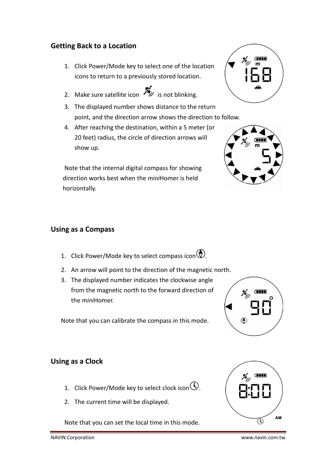## **Getting Back to a Location**

- 1. Click Power/Mode key to select one of the location icons to return to a previously stored location.
- 2. Make sure satellite icon  $\mathcal{L}$  is not blinking.
- 3. The displayed number shows distance to the return point, and the direction arrow shows the direction to follow.
- 4. After reaching the destination, within a 5 meter (or 20 feet) radius, the circle of direction arrows will show up.

Note that the internal digital compass for showing direction works best when the *mini*Homer is held horizontally.





#### **Using as a Compass**

- 1. Click Power/Mode key to select compass icon  $\circledP$ .
- 2. An arrow will point to the direction of the magnetic north.
- 3. The displayed number indicates the clockwise angle from the magnetic north to the forward direction of the *mini*Homer.

Note that you can calibrate the compass in this mode.



## **Using as a Clock**

- 1. Click Power/Mode key to select clock icon  $\mathbb O$ .
- 2. The current time will be displayed.

Note that you can set the local time in this mode.



NAVIN Corporation www.navin.com.tw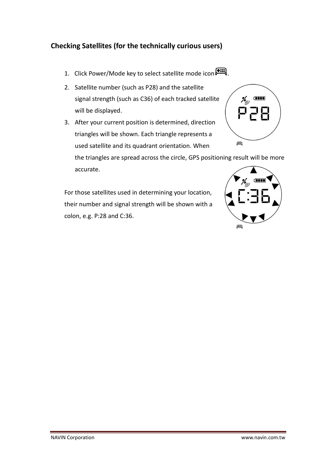# **Checking Satellites (for the technically curious users)**

- 1. Click Power/Mode key to select satellite mode icon  $\bullet$  .
- 2. Satellite number (such as P28) and the satellite signal strength (such as C36) of each tracked satellite will be displayed.
- 3. After your current position is determined, direction triangles will be shown. Each triangle represents a used satellite and its quadrant orientation. When

the triangles are spread across the circle, GPS positioning result will be more accurate.

For those satellites used in determining your location, their number and signal strength will be shown with a colon, e.g. P:28 and C:36.



 $\overline{\text{cm}}$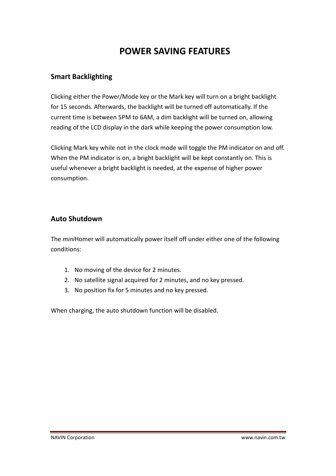# **POWER SAVING FEATURES**

### **Smart Backlighting**

Clicking either the Power/Mode key or the Mark key will turn on a bright backlight for 15 seconds. Afterwards, the backlight will be turned off automatically. If the current time is between 5PM to 6AM, a dim backlight will be turned on, allowing reading of the LCD display in the dark while keeping the power consumption low.

Clicking Mark key while not in the clock mode will toggle the PM indicator on and off. When the PM indicator is on, a bright backlight will be kept constantly on. This is useful whenever a bright backlight is needed, at the expense of higher power consumption.

### **Auto Shutdown**

The *mini*Homer will automatically power itself off under either one of the following conditions:

- 1. No moving of the device for 2 minutes.
- 2. No satellite signal acquired for 2 minutes, and no key pressed.
- 3. No position fix for 5 minutes and no key pressed.

When charging, the auto shutdown function will be disabled.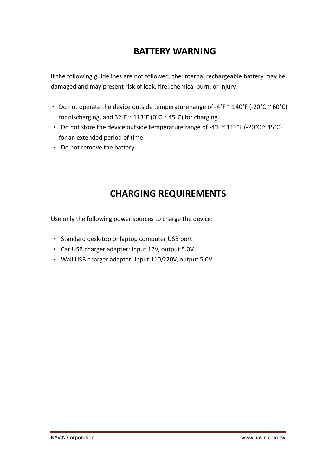# **BATTERY WARNING**

If the following guidelines are not followed, the internal rechargeable battery may be damaged and may present risk of leak, fire, chemical burn, or injury.

- Do not operate the device outside temperature range of -4°F  $\sim$  140°F (-20°C  $\sim$  60°C) for discharging, and  $32^{\circ}F \approx 113^{\circ}F$  (0°C  $\sim$  45°C) for charging.
- Do not store the device outside temperature range of -4°F  $\sim$  113°F (-20°C  $\sim$  45°C) for an extended period of time.
- Do not remove the battery.

# **CHARGING REQUIREMENTS**

Use only the following power sources to charge the device:

- Standard desk-top or laptop computer USB port
- Car USB charger adapter: Input 12V, output 5.0V
- Wall USB charger adapter: Input 110/220V, output 5.0V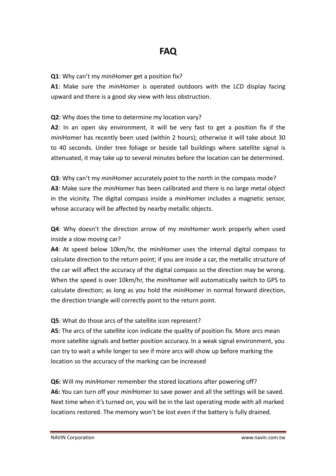#### **Q1**: Why can't my *mini*Homer get a position fix?

**A1**: Make sure the *mini*Homer is operated outdoors with the LCD display facing upward and there is a good sky view with less obstruction.

#### **Q2**: Why does the time to determine my location vary?

**A2**: In an open sky environment, it will be very fast to get a position fix if the *mini*Homer has recently been used (within 2 hours); otherwise it will take about 30 to 40 seconds. Under tree foliage or beside tall buildings where satellite signal is attenuated, it may take up to several minutes before the location can be determined.

**Q3**: Why can't my *mini*Homer accurately point to the north in the compass mode? **A3**: Make sure the *mini*Homer has been calibrated and there is no large metal object in the vicinity. The digital compass inside a *mini*Homer includes a magnetic sensor, whose accuracy will be affected by nearby metallic objects.

**Q4**: Why doesn't the direction arrow of my *mini*Homer work properly when used inside a slow moving car?

**A4**: At speed below 10km/hr, the *mini*Homer uses the internal digital compass to calculate direction to the return point; if you are inside a car, the metallic structure of the car will affect the accuracy of the digital compass so the direction may be wrong. When the speed is over 10km/hr, the *mini*Homer will automatically switch to GPS to calculate direction; as long as you hold the *mini*Homer in normal forward direction, the direction triangle will correctly point to the return point.

#### **Q5**: What do those arcs of the satellite icon represent?

**A5**: The arcs of the satellite icon indicate the quality of position fix. More arcs mean more satellite signals and better position accuracy. In a weak signal environment, you can try to wait a while longer to see if more arcs will show up before marking the location so the accuracy of the marking can be increased

**Q6:** Will my *mini*Homer remember the stored locations after powering off? **A6:** You can turn off your *mini*Homer to save power and all the settings will be saved. Next time when it's turned on, you will be in the last operating mode with all marked locations restored. The memory won't be lost even if the battery is fully drained.